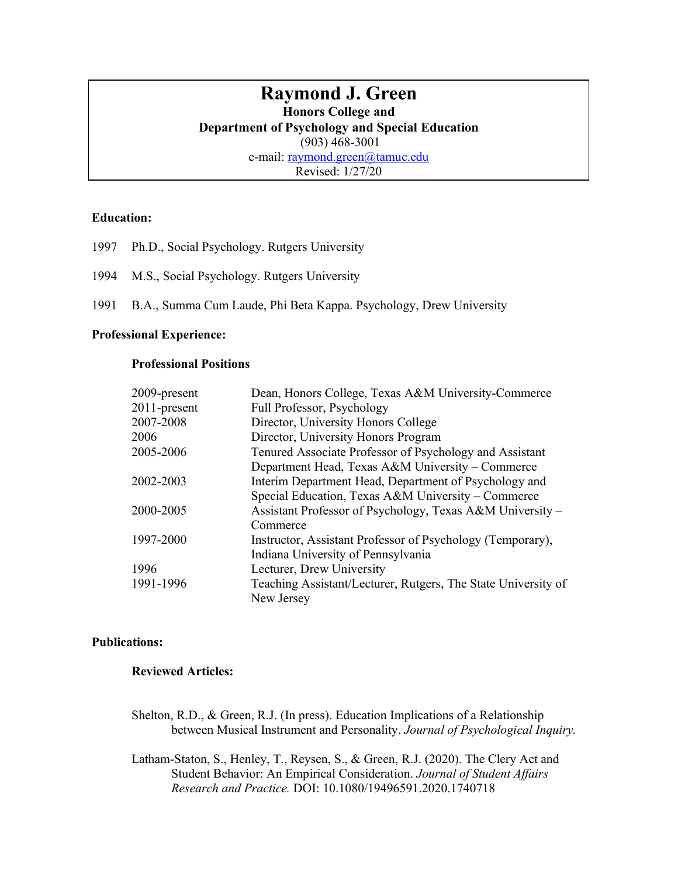# **Raymond J. Green**

## **Honors College and**

**Department of Psychology and Special Education**

(903) 468-3001

e-mail: raymond.green@tamuc.edu

Revised: 1/27/20

#### **Education:**

- 1997 Ph.D., Social Psychology. Rutgers University
- 1994 M.S., Social Psychology. Rutgers University
- 1991 B.A., Summa Cum Laude, Phi Beta Kappa. Psychology, Drew University

## **Professional Experience:**

## **Professional Positions**

| 2009-present | Dean, Honors College, Texas A&M University-Commerce           |
|--------------|---------------------------------------------------------------|
| 2011-present | Full Professor, Psychology                                    |
| 2007-2008    | Director, University Honors College                           |
| 2006         | Director, University Honors Program                           |
| 2005-2006    | Tenured Associate Professor of Psychology and Assistant       |
|              | Department Head, Texas A&M University - Commerce              |
| 2002-2003    | Interim Department Head, Department of Psychology and         |
|              | Special Education, Texas A&M University – Commerce            |
| 2000-2005    | Assistant Professor of Psychology, Texas A&M University -     |
|              | Commerce                                                      |
| 1997-2000    | Instructor, Assistant Professor of Psychology (Temporary),    |
|              | Indiana University of Pennsylvania                            |
| 1996         | Lecturer, Drew University                                     |
| 1991-1996    | Teaching Assistant/Lecturer, Rutgers, The State University of |
|              | New Jersey                                                    |

## **Publications:**

## **Reviewed Articles:**

Shelton, R.D., & Green, R.J. (In press). Education Implications of a Relationship between Musical Instrument and Personality. *Journal of Psychological Inquiry.*

Latham-Staton, S., Henley, T., Reysen, S., & Green, R.J. (2020). The Clery Act and Student Behavior: An Empirical Consideration. *Journal of Student Affairs Research and Practice.* DOI: 10.1080/19496591.2020.1740718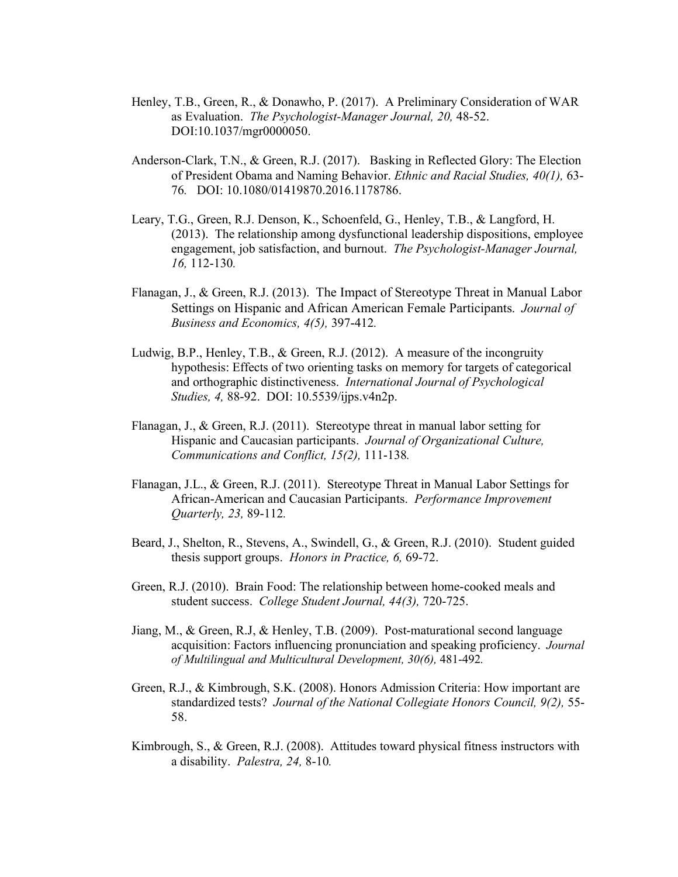- Henley, T.B., Green, R., & Donawho, P. (2017). A Preliminary Consideration of WAR as Evaluation. *The Psychologist-Manager Journal, 20,* 48-52. DOI:10.1037/mgr0000050.
- Anderson-Clark, T.N., & Green, R.J. (2017). Basking in Reflected Glory: The Election of President Obama and Naming Behavior. *Ethnic and Racial Studies, 40(1),* 63- 76*.* DOI: 10.1080/01419870.2016.1178786.
- Leary, T.G., Green, R.J. Denson, K., Schoenfeld, G., Henley, T.B., & Langford, H. (2013). The relationship among dysfunctional leadership dispositions, employee engagement, job satisfaction, and burnout. *The Psychologist-Manager Journal, 16,* 112-130*.*
- Flanagan, J., & Green, R.J. (2013). The Impact of Stereotype Threat in Manual Labor Settings on Hispanic and African American Female Participants. *Journal of Business and Economics, 4(5),* 397-412*.*
- Ludwig, B.P., Henley, T.B., & Green, R.J. (2012). A measure of the incongruity hypothesis: Effects of two orienting tasks on memory for targets of categorical and orthographic distinctiveness. *International Journal of Psychological Studies, 4,* 88-92. DOI: 10.5539/ijps.v4n2p.
- Flanagan, J., & Green, R.J. (2011). Stereotype threat in manual labor setting for Hispanic and Caucasian participants. *Journal of Organizational Culture, Communications and Conflict, 15(2),* 111-138*.*
- Flanagan, J.L., & Green, R.J. (2011). Stereotype Threat in Manual Labor Settings for African-American and Caucasian Participants. *Performance Improvement Quarterly, 23,* 89-112*.*
- Beard, J., Shelton, R., Stevens, A., Swindell, G., & Green, R.J. (2010). Student guided thesis support groups. *Honors in Practice, 6,* 69-72.
- Green, R.J. (2010). Brain Food: The relationship between home-cooked meals and student success. *College Student Journal, 44(3),* 720-725.
- Jiang, M., & Green, R.J, & Henley, T.B. (2009). Post-maturational second language acquisition: Factors influencing pronunciation and speaking proficiency. *Journal of Multilingual and Multicultural Development, 30(6),* 481-492*.*
- Green, R.J., & Kimbrough, S.K. (2008). Honors Admission Criteria: How important are standardized tests? *Journal of the National Collegiate Honors Council, 9(2),* 55- 58.
- Kimbrough, S., & Green, R.J. (2008). Attitudes toward physical fitness instructors with a disability. *Palestra, 24,* 8-10*.*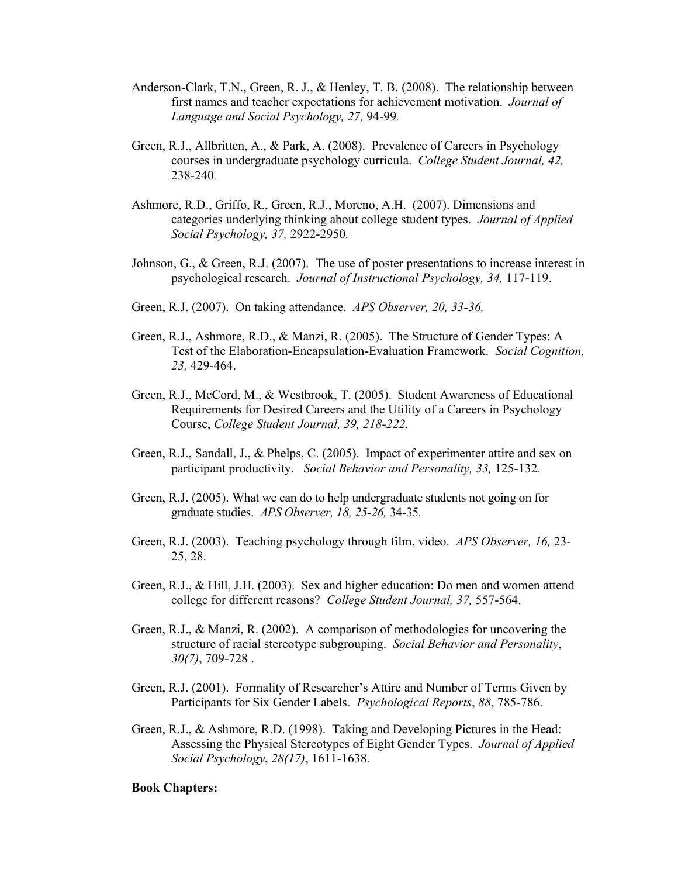- Anderson-Clark, T.N., Green, R. J., & Henley, T. B. (2008). The relationship between first names and teacher expectations for achievement motivation. *Journal of Language and Social Psychology, 27,* 94-99*.*
- Green, R.J., Allbritten, A., & Park, A. (2008). Prevalence of Careers in Psychology courses in undergraduate psychology curricula. *College Student Journal, 42,*  238-240*.*
- Ashmore, R.D., Griffo, R., Green, R.J., Moreno, A.H. (2007). Dimensions and categories underlying thinking about college student types. *Journal of Applied Social Psychology, 37,* 2922-2950*.*
- Johnson, G., & Green, R.J. (2007). The use of poster presentations to increase interest in psychological research. *Journal of Instructional Psychology, 34,* 117-119.
- Green, R.J. (2007). On taking attendance. *APS Observer, 20, 33-36.*
- Green, R.J., Ashmore, R.D., & Manzi, R. (2005). The Structure of Gender Types: A Test of the Elaboration-Encapsulation-Evaluation Framework. *Social Cognition, 23,* 429-464.
- Green, R.J., McCord, M., & Westbrook, T. (2005). Student Awareness of Educational Requirements for Desired Careers and the Utility of a Careers in Psychology Course, *College Student Journal, 39, 218-222.*
- Green, R.J., Sandall, J., & Phelps, C. (2005). Impact of experimenter attire and sex on participant productivity. *Social Behavior and Personality, 33,* 125-132*.*
- Green, R.J. (2005). What we can do to help undergraduate students not going on for graduate studies. *APS Observer, 18, 25-26,* 34-35*.*
- Green, R.J. (2003). Teaching psychology through film, video. *APS Observer, 16,* 23- 25, 28.
- Green, R.J., & Hill, J.H. (2003). Sex and higher education: Do men and women attend college for different reasons? *College Student Journal, 37,* 557-564.
- Green, R.J., & Manzi, R. (2002). A comparison of methodologies for uncovering the structure of racial stereotype subgrouping. *Social Behavior and Personality*, *30(7)*, 709-728 .
- Green, R.J. (2001). Formality of Researcher's Attire and Number of Terms Given by Participants for Six Gender Labels. *Psychological Reports*, *88*, 785-786.
- Green, R.J., & Ashmore, R.D. (1998). Taking and Developing Pictures in the Head: Assessing the Physical Stereotypes of Eight Gender Types. *Journal of Applied Social Psychology*, *28(17)*, 1611-1638.

#### **Book Chapters:**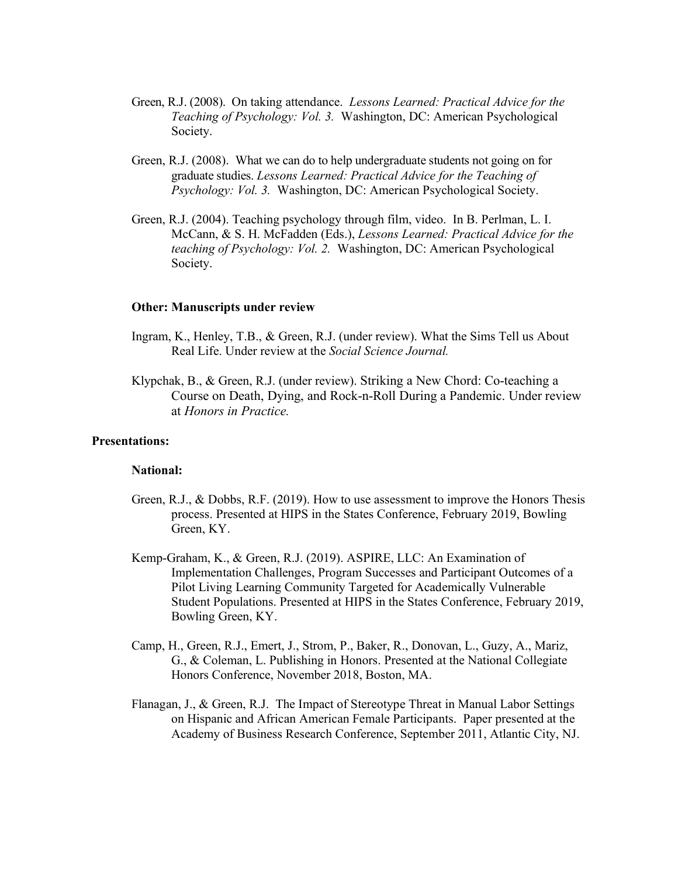- Green, R.J. (2008). On taking attendance. *Lessons Learned: Practical Advice for the Teaching of Psychology: Vol. 3.* Washington, DC: American Psychological Society.
- Green, R.J. (2008). What we can do to help undergraduate students not going on for graduate studies. *Lessons Learned: Practical Advice for the Teaching of Psychology: Vol. 3.* Washington, DC: American Psychological Society.
- Green, R.J. (2004). Teaching psychology through film, video. In B. Perlman, L. I. McCann, & S. H. McFadden (Eds.), *Lessons Learned: Practical Advice for the teaching of Psychology: Vol. 2.* Washington, DC: American Psychological Society.

#### **Other: Manuscripts under review**

- Ingram, K., Henley, T.B., & Green, R.J. (under review). What the Sims Tell us About Real Life. Under review at the *Social Science Journal.*
- Klypchak, B., & Green, R.J. (under review). Striking a New Chord: Co-teaching a Course on Death, Dying, and Rock-n-Roll During a Pandemic. Under review at *Honors in Practice.*

#### **Presentations:**

#### **National:**

- Green, R.J., & Dobbs, R.F. (2019). How to use assessment to improve the Honors Thesis process. Presented at HIPS in the States Conference, February 2019, Bowling Green, KY.
- Kemp-Graham, K., & Green, R.J. (2019). ASPIRE, LLC: An Examination of Implementation Challenges, Program Successes and Participant Outcomes of a Pilot Living Learning Community Targeted for Academically Vulnerable Student Populations. Presented at HIPS in the States Conference, February 2019, Bowling Green, KY.
- Camp, H., Green, R.J., Emert, J., Strom, P., Baker, R., Donovan, L., Guzy, A., Mariz, G., & Coleman, L. Publishing in Honors. Presented at the National Collegiate Honors Conference, November 2018, Boston, MA.
- Flanagan, J., & Green, R.J. The Impact of Stereotype Threat in Manual Labor Settings on Hispanic and African American Female Participants. Paper presented at the Academy of Business Research Conference, September 2011, Atlantic City, NJ.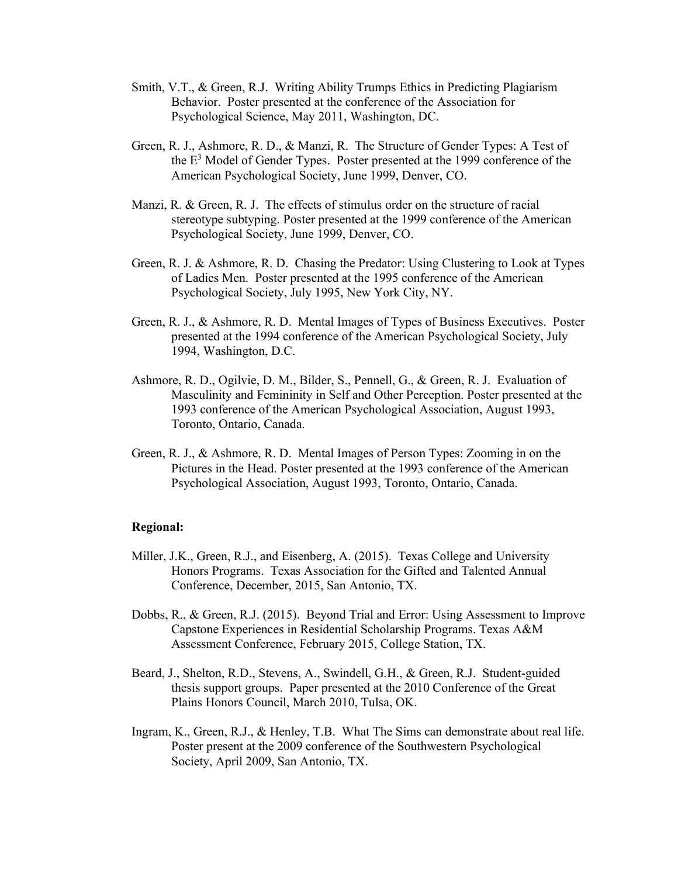- Smith, V.T., & Green, R.J. Writing Ability Trumps Ethics in Predicting Plagiarism Behavior. Poster presented at the conference of the Association for Psychological Science, May 2011, Washington, DC.
- Green, R. J., Ashmore, R. D., & Manzi, R. The Structure of Gender Types: A Test of the  $E<sup>3</sup>$  Model of Gender Types. Poster presented at the 1999 conference of the American Psychological Society, June 1999, Denver, CO.
- Manzi, R. & Green, R. J. The effects of stimulus order on the structure of racial stereotype subtyping. Poster presented at the 1999 conference of the American Psychological Society, June 1999, Denver, CO.
- Green, R. J. & Ashmore, R. D. Chasing the Predator: Using Clustering to Look at Types of Ladies Men. Poster presented at the 1995 conference of the American Psychological Society, July 1995, New York City, NY.
- Green, R. J., & Ashmore, R. D. Mental Images of Types of Business Executives. Poster presented at the 1994 conference of the American Psychological Society, July 1994, Washington, D.C.
- Ashmore, R. D., Ogilvie, D. M., Bilder, S., Pennell, G., & Green, R. J. Evaluation of Masculinity and Femininity in Self and Other Perception. Poster presented at the 1993 conference of the American Psychological Association, August 1993, Toronto, Ontario, Canada.
- Green, R. J., & Ashmore, R. D. Mental Images of Person Types: Zooming in on the Pictures in the Head. Poster presented at the 1993 conference of the American Psychological Association, August 1993, Toronto, Ontario, Canada.

#### **Regional:**

- Miller, J.K., Green, R.J., and Eisenberg, A. (2015). Texas College and University Honors Programs. Texas Association for the Gifted and Talented Annual Conference, December, 2015, San Antonio, TX.
- Dobbs, R., & Green, R.J. (2015). Beyond Trial and Error: Using Assessment to Improve Capstone Experiences in Residential Scholarship Programs. Texas A&M Assessment Conference, February 2015, College Station, TX.
- Beard, J., Shelton, R.D., Stevens, A., Swindell, G.H., & Green, R.J. Student-guided thesis support groups. Paper presented at the 2010 Conference of the Great Plains Honors Council, March 2010, Tulsa, OK.
- Ingram, K., Green, R.J., & Henley, T.B. What The Sims can demonstrate about real life. Poster present at the 2009 conference of the Southwestern Psychological Society, April 2009, San Antonio, TX.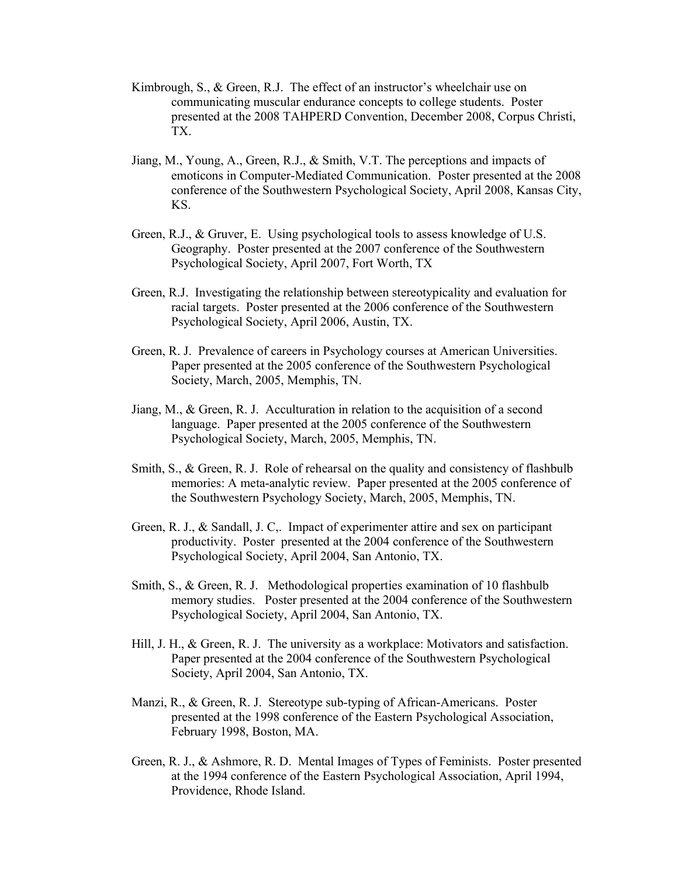- Kimbrough, S., & Green, R.J. The effect of an instructor's wheelchair use on communicating muscular endurance concepts to college students. Poster presented at the 2008 TAHPERD Convention, December 2008, Corpus Christi, TX.
- Jiang, M., Young, A., Green, R.J., & Smith, V.T. The perceptions and impacts of emoticons in Computer-Mediated Communication. Poster presented at the 2008 conference of the Southwestern Psychological Society, April 2008, Kansas City, KS.
- Green, R.J., & Gruver, E. Using psychological tools to assess knowledge of U.S. Geography. Poster presented at the 2007 conference of the Southwestern Psychological Society, April 2007, Fort Worth, TX
- Green, R.J. Investigating the relationship between stereotypicality and evaluation for racial targets. Poster presented at the 2006 conference of the Southwestern Psychological Society, April 2006, Austin, TX.
- Green, R. J. Prevalence of careers in Psychology courses at American Universities. Paper presented at the 2005 conference of the Southwestern Psychological Society, March, 2005, Memphis, TN.
- Jiang, M., & Green, R. J. Acculturation in relation to the acquisition of a second language. Paper presented at the 2005 conference of the Southwestern Psychological Society, March, 2005, Memphis, TN.
- Smith, S., & Green, R. J. Role of rehearsal on the quality and consistency of flashbulb memories: A meta-analytic review. Paper presented at the 2005 conference of the Southwestern Psychology Society, March, 2005, Memphis, TN.
- Green, R. J., & Sandall, J. C,. Impact of experimenter attire and sex on participant productivity. Poster presented at the 2004 conference of the Southwestern Psychological Society, April 2004, San Antonio, TX.
- Smith, S., & Green, R. J. Methodological properties examination of 10 flashbulb memory studies. Poster presented at the 2004 conference of the Southwestern Psychological Society, April 2004, San Antonio, TX.
- Hill, J. H., & Green, R. J. The university as a workplace: Motivators and satisfaction. Paper presented at the 2004 conference of the Southwestern Psychological Society, April 2004, San Antonio, TX.
- Manzi, R., & Green, R. J. Stereotype sub-typing of African-Americans. Poster presented at the 1998 conference of the Eastern Psychological Association, February 1998, Boston, MA.
- Green, R. J., & Ashmore, R. D. Mental Images of Types of Feminists. Poster presented at the 1994 conference of the Eastern Psychological Association, April 1994, Providence, Rhode Island.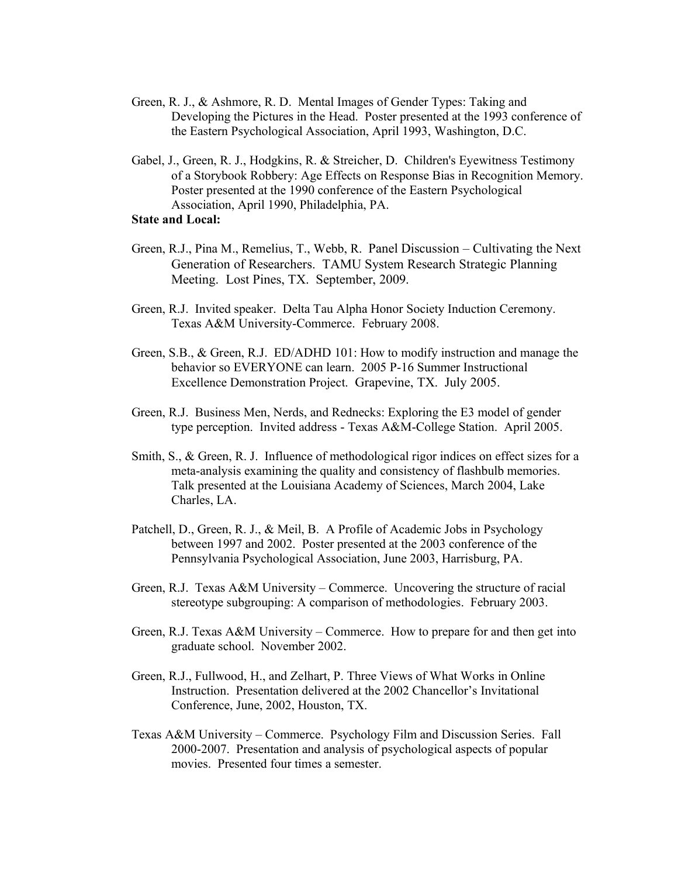- Green, R. J., & Ashmore, R. D. Mental Images of Gender Types: Taking and Developing the Pictures in the Head. Poster presented at the 1993 conference of the Eastern Psychological Association, April 1993, Washington, D.C.
- Gabel, J., Green, R. J., Hodgkins, R. & Streicher, D. Children's Eyewitness Testimony of a Storybook Robbery: Age Effects on Response Bias in Recognition Memory. Poster presented at the 1990 conference of the Eastern Psychological Association, April 1990, Philadelphia, PA.

## **State and Local:**

- Green, R.J., Pina M., Remelius, T., Webb, R. Panel Discussion Cultivating the Next Generation of Researchers. TAMU System Research Strategic Planning Meeting. Lost Pines, TX. September, 2009.
- Green, R.J. Invited speaker. Delta Tau Alpha Honor Society Induction Ceremony. Texas A&M University-Commerce. February 2008.
- Green, S.B., & Green, R.J. ED/ADHD 101: How to modify instruction and manage the behavior so EVERYONE can learn. 2005 P-16 Summer Instructional Excellence Demonstration Project. Grapevine, TX. July 2005.
- Green, R.J. Business Men, Nerds, and Rednecks: Exploring the E3 model of gender type perception. Invited address - Texas A&M-College Station. April 2005.
- Smith, S., & Green, R. J. Influence of methodological rigor indices on effect sizes for a meta-analysis examining the quality and consistency of flashbulb memories. Talk presented at the Louisiana Academy of Sciences, March 2004, Lake Charles, LA.
- Patchell, D., Green, R. J., & Meil, B. A Profile of Academic Jobs in Psychology between 1997 and 2002. Poster presented at the 2003 conference of the Pennsylvania Psychological Association, June 2003, Harrisburg, PA.
- Green, R.J. Texas A&M University Commerce. Uncovering the structure of racial stereotype subgrouping: A comparison of methodologies. February 2003.
- Green, R.J. Texas A&M University Commerce. How to prepare for and then get into graduate school. November 2002.
- Green, R.J., Fullwood, H., and Zelhart, P. Three Views of What Works in Online Instruction. Presentation delivered at the 2002 Chancellor's Invitational Conference, June, 2002, Houston, TX.
- Texas A&M University Commerce. Psychology Film and Discussion Series. Fall 2000-2007. Presentation and analysis of psychological aspects of popular movies. Presented four times a semester.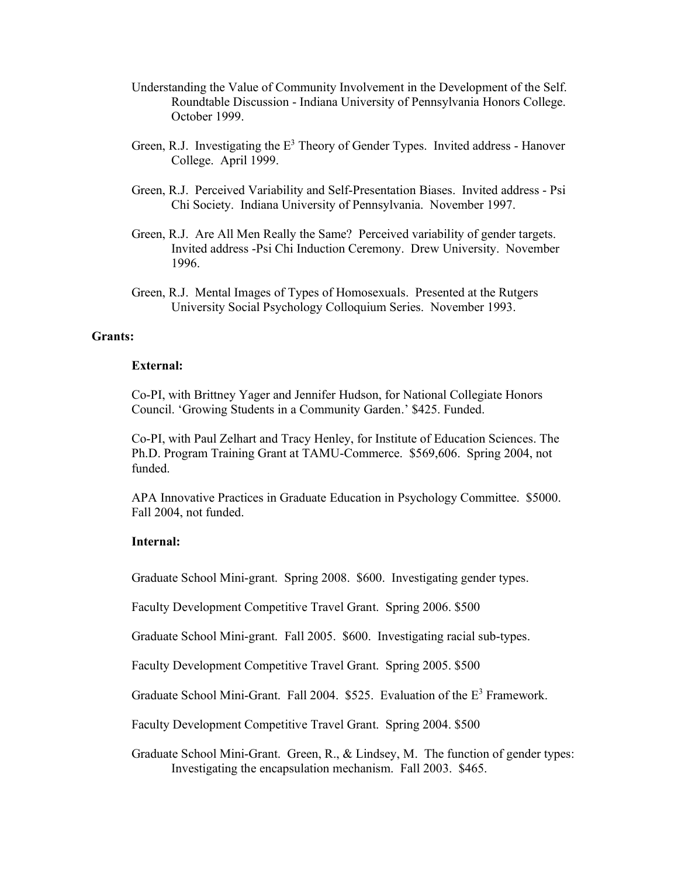- Understanding the Value of Community Involvement in the Development of the Self. Roundtable Discussion - Indiana University of Pennsylvania Honors College. October 1999.
- Green, R.J. Investigating the  $E<sup>3</sup>$  Theory of Gender Types. Invited address Hanover College. April 1999.
- Green, R.J. Perceived Variability and Self-Presentation Biases. Invited address Psi Chi Society. Indiana University of Pennsylvania. November 1997.
- Green, R.J. Are All Men Really the Same? Perceived variability of gender targets. Invited address -Psi Chi Induction Ceremony. Drew University. November 1996.
- Green, R.J. Mental Images of Types of Homosexuals. Presented at the Rutgers University Social Psychology Colloquium Series. November 1993.

#### **Grants:**

## **External:**

Co-PI, with Brittney Yager and Jennifer Hudson, for National Collegiate Honors Council. 'Growing Students in a Community Garden.' \$425. Funded.

Co-PI, with Paul Zelhart and Tracy Henley, for Institute of Education Sciences. The Ph.D. Program Training Grant at TAMU-Commerce. \$569,606. Spring 2004, not funded.

APA Innovative Practices in Graduate Education in Psychology Committee. \$5000. Fall 2004, not funded.

## **Internal:**

Graduate School Mini-grant. Spring 2008. \$600. Investigating gender types.

Faculty Development Competitive Travel Grant. Spring 2006. \$500

Graduate School Mini-grant. Fall 2005. \$600. Investigating racial sub-types.

Faculty Development Competitive Travel Grant. Spring 2005. \$500

Graduate School Mini-Grant. Fall 2004.  $$525$ . Evaluation of the  $E<sup>3</sup>$  Framework.

Faculty Development Competitive Travel Grant. Spring 2004. \$500

Graduate School Mini-Grant. Green, R., & Lindsey, M. The function of gender types: Investigating the encapsulation mechanism. Fall 2003. \$465.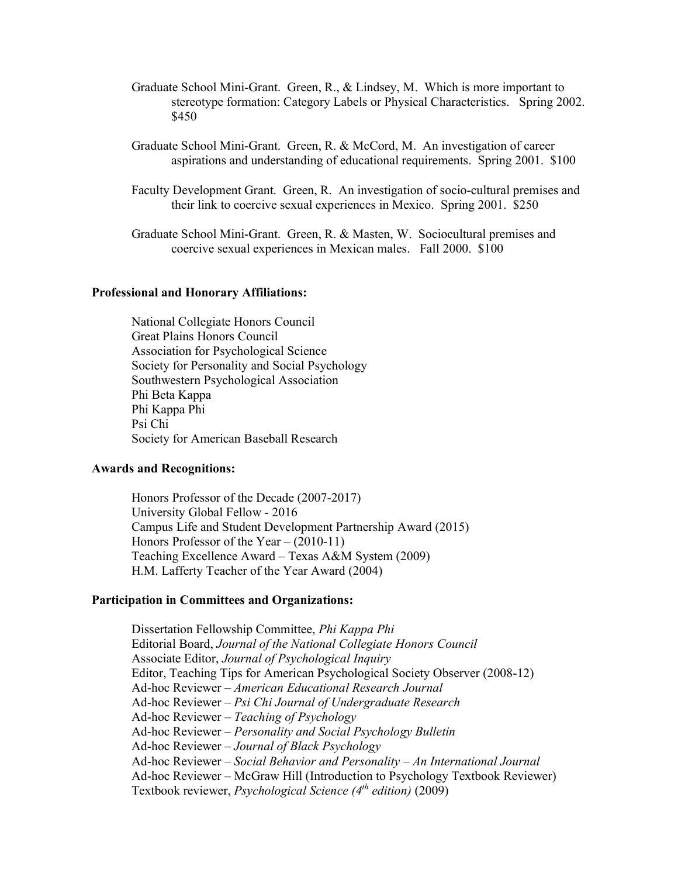- Graduate School Mini-Grant. Green, R., & Lindsey, M. Which is more important to stereotype formation: Category Labels or Physical Characteristics. Spring 2002. \$450
- Graduate School Mini-Grant. Green, R. & McCord, M. An investigation of career aspirations and understanding of educational requirements. Spring 2001. \$100
- Faculty Development Grant. Green, R. An investigation of socio-cultural premises and their link to coercive sexual experiences in Mexico. Spring 2001. \$250

Graduate School Mini-Grant. Green, R. & Masten, W. Sociocultural premises and coercive sexual experiences in Mexican males. Fall 2000. \$100

### **Professional and Honorary Affiliations:**

National Collegiate Honors Council Great Plains Honors Council Association for Psychological Science Society for Personality and Social Psychology Southwestern Psychological Association Phi Beta Kappa Phi Kappa Phi Psi Chi Society for American Baseball Research

#### **Awards and Recognitions:**

Honors Professor of the Decade (2007-2017) University Global Fellow - 2016 Campus Life and Student Development Partnership Award (2015) Honors Professor of the Year – (2010-11) Teaching Excellence Award – Texas A&M System (2009) H.M. Lafferty Teacher of the Year Award (2004)

#### **Participation in Committees and Organizations:**

Dissertation Fellowship Committee, *Phi Kappa Phi* Editorial Board, *Journal of the National Collegiate Honors Council* Associate Editor, *Journal of Psychological Inquiry* Editor, Teaching Tips for American Psychological Society Observer (2008-12) Ad-hoc Reviewer – *American Educational Research Journal* Ad-hoc Reviewer – *Psi Chi Journal of Undergraduate Research* Ad-hoc Reviewer – *Teaching of Psychology* Ad-hoc Reviewer – *Personality and Social Psychology Bulletin* Ad-hoc Reviewer – *Journal of Black Psychology* Ad-hoc Reviewer – *Social Behavior and Personality – An International Journal* Ad-hoc Reviewer – McGraw Hill (Introduction to Psychology Textbook Reviewer) Textbook reviewer, *Psychological Science (4th edition)* (2009)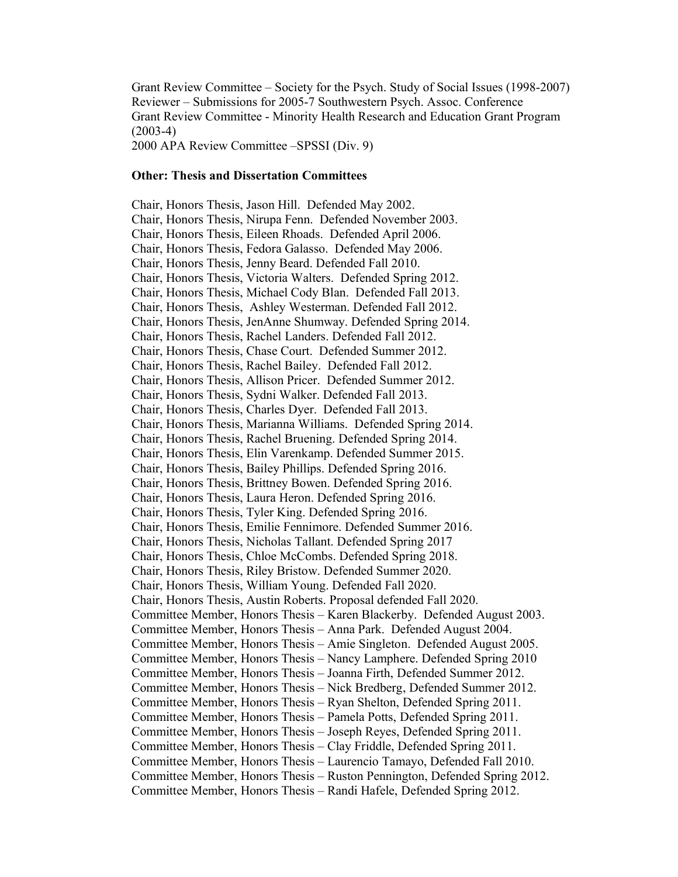Grant Review Committee – Society for the Psych. Study of Social Issues (1998-2007) Reviewer – Submissions for 2005-7 Southwestern Psych. Assoc. Conference Grant Review Committee - Minority Health Research and Education Grant Program  $(2003-4)$ 2000 APA Review Committee –SPSSI (Div. 9)

#### **Other: Thesis and Dissertation Committees**

Chair, Honors Thesis, Jason Hill. Defended May 2002. Chair, Honors Thesis, Nirupa Fenn. Defended November 2003. Chair, Honors Thesis, Eileen Rhoads. Defended April 2006. Chair, Honors Thesis, Fedora Galasso. Defended May 2006. Chair, Honors Thesis, Jenny Beard. Defended Fall 2010. Chair, Honors Thesis, Victoria Walters. Defended Spring 2012. Chair, Honors Thesis, Michael Cody Blan. Defended Fall 2013. Chair, Honors Thesis, Ashley Westerman. Defended Fall 2012. Chair, Honors Thesis, JenAnne Shumway. Defended Spring 2014. Chair, Honors Thesis, Rachel Landers. Defended Fall 2012. Chair, Honors Thesis, Chase Court. Defended Summer 2012. Chair, Honors Thesis, Rachel Bailey. Defended Fall 2012. Chair, Honors Thesis, Allison Pricer. Defended Summer 2012. Chair, Honors Thesis, Sydni Walker. Defended Fall 2013. Chair, Honors Thesis, Charles Dyer. Defended Fall 2013. Chair, Honors Thesis, Marianna Williams. Defended Spring 2014. Chair, Honors Thesis, Rachel Bruening. Defended Spring 2014. Chair, Honors Thesis, Elin Varenkamp. Defended Summer 2015. Chair, Honors Thesis, Bailey Phillips. Defended Spring 2016. Chair, Honors Thesis, Brittney Bowen. Defended Spring 2016. Chair, Honors Thesis, Laura Heron. Defended Spring 2016. Chair, Honors Thesis, Tyler King. Defended Spring 2016. Chair, Honors Thesis, Emilie Fennimore. Defended Summer 2016. Chair, Honors Thesis, Nicholas Tallant. Defended Spring 2017 Chair, Honors Thesis, Chloe McCombs. Defended Spring 2018. Chair, Honors Thesis, Riley Bristow. Defended Summer 2020. Chair, Honors Thesis, William Young. Defended Fall 2020. Chair, Honors Thesis, Austin Roberts. Proposal defended Fall 2020. Committee Member, Honors Thesis – Karen Blackerby. Defended August 2003. Committee Member, Honors Thesis – Anna Park. Defended August 2004. Committee Member, Honors Thesis – Amie Singleton. Defended August 2005. Committee Member, Honors Thesis – Nancy Lamphere. Defended Spring 2010 Committee Member, Honors Thesis – Joanna Firth, Defended Summer 2012. Committee Member, Honors Thesis – Nick Bredberg, Defended Summer 2012. Committee Member, Honors Thesis – Ryan Shelton, Defended Spring 2011. Committee Member, Honors Thesis – Pamela Potts, Defended Spring 2011. Committee Member, Honors Thesis – Joseph Reyes, Defended Spring 2011. Committee Member, Honors Thesis – Clay Friddle, Defended Spring 2011. Committee Member, Honors Thesis – Laurencio Tamayo, Defended Fall 2010. Committee Member, Honors Thesis – Ruston Pennington, Defended Spring 2012. Committee Member, Honors Thesis – Randi Hafele, Defended Spring 2012.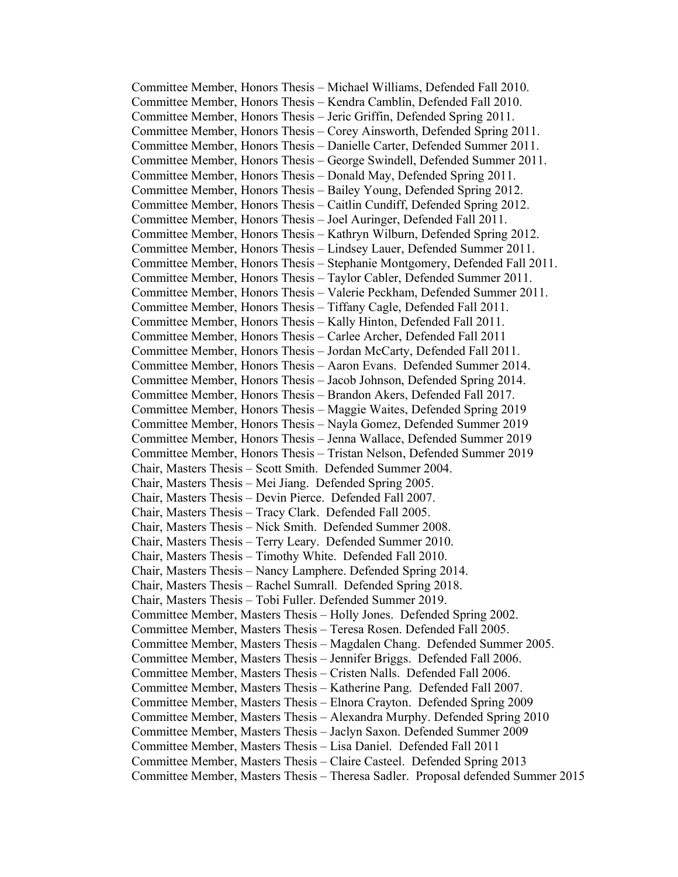Committee Member, Honors Thesis – Michael Williams, Defended Fall 2010. Committee Member, Honors Thesis – Kendra Camblin, Defended Fall 2010. Committee Member, Honors Thesis – Jeric Griffin, Defended Spring 2011. Committee Member, Honors Thesis – Corey Ainsworth, Defended Spring 2011. Committee Member, Honors Thesis – Danielle Carter, Defended Summer 2011. Committee Member, Honors Thesis – George Swindell, Defended Summer 2011. Committee Member, Honors Thesis – Donald May, Defended Spring 2011. Committee Member, Honors Thesis – Bailey Young, Defended Spring 2012. Committee Member, Honors Thesis – Caitlin Cundiff, Defended Spring 2012. Committee Member, Honors Thesis – Joel Auringer, Defended Fall 2011. Committee Member, Honors Thesis – Kathryn Wilburn, Defended Spring 2012. Committee Member, Honors Thesis – Lindsey Lauer, Defended Summer 2011. Committee Member, Honors Thesis – Stephanie Montgomery, Defended Fall 2011. Committee Member, Honors Thesis – Taylor Cabler, Defended Summer 2011. Committee Member, Honors Thesis – Valerie Peckham, Defended Summer 2011. Committee Member, Honors Thesis – Tiffany Cagle, Defended Fall 2011. Committee Member, Honors Thesis – Kally Hinton, Defended Fall 2011. Committee Member, Honors Thesis – Carlee Archer, Defended Fall 2011 Committee Member, Honors Thesis – Jordan McCarty, Defended Fall 2011. Committee Member, Honors Thesis – Aaron Evans. Defended Summer 2014. Committee Member, Honors Thesis – Jacob Johnson, Defended Spring 2014. Committee Member, Honors Thesis – Brandon Akers, Defended Fall 2017. Committee Member, Honors Thesis – Maggie Waites, Defended Spring 2019 Committee Member, Honors Thesis – Nayla Gomez, Defended Summer 2019 Committee Member, Honors Thesis – Jenna Wallace, Defended Summer 2019 Committee Member, Honors Thesis – Tristan Nelson, Defended Summer 2019 Chair, Masters Thesis – Scott Smith. Defended Summer 2004. Chair, Masters Thesis – Mei Jiang. Defended Spring 2005. Chair, Masters Thesis – Devin Pierce. Defended Fall 2007. Chair, Masters Thesis – Tracy Clark. Defended Fall 2005. Chair, Masters Thesis – Nick Smith. Defended Summer 2008. Chair, Masters Thesis – Terry Leary. Defended Summer 2010. Chair, Masters Thesis – Timothy White. Defended Fall 2010. Chair, Masters Thesis – Nancy Lamphere. Defended Spring 2014. Chair, Masters Thesis – Rachel Sumrall. Defended Spring 2018. Chair, Masters Thesis – Tobi Fuller. Defended Summer 2019. Committee Member, Masters Thesis – Holly Jones. Defended Spring 2002. Committee Member, Masters Thesis – Teresa Rosen. Defended Fall 2005. Committee Member, Masters Thesis – Magdalen Chang. Defended Summer 2005. Committee Member, Masters Thesis – Jennifer Briggs. Defended Fall 2006. Committee Member, Masters Thesis – Cristen Nalls. Defended Fall 2006. Committee Member, Masters Thesis – Katherine Pang. Defended Fall 2007. Committee Member, Masters Thesis – Elnora Crayton. Defended Spring 2009 Committee Member, Masters Thesis – Alexandra Murphy. Defended Spring 2010 Committee Member, Masters Thesis – Jaclyn Saxon. Defended Summer 2009 Committee Member, Masters Thesis – Lisa Daniel. Defended Fall 2011 Committee Member, Masters Thesis – Claire Casteel. Defended Spring 2013 Committee Member, Masters Thesis – Theresa Sadler. Proposal defended Summer 2015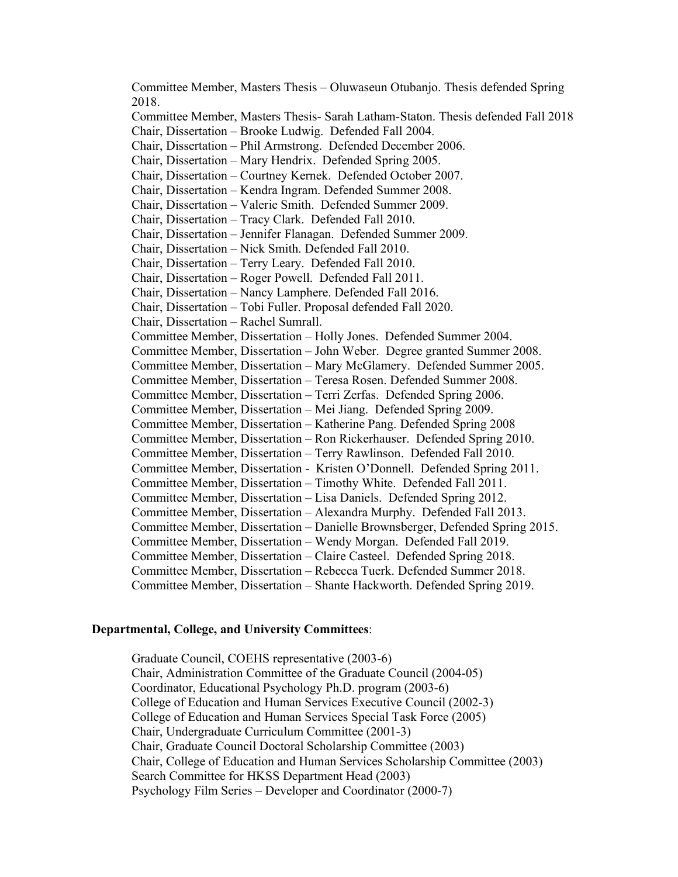Committee Member, Masters Thesis – Oluwaseun Otubanjo. Thesis defended Spring 2018. Committee Member, Masters Thesis- Sarah Latham-Staton. Thesis defended Fall 2018 Chair, Dissertation – Brooke Ludwig. Defended Fall 2004. Chair, Dissertation – Phil Armstrong. Defended December 2006. Chair, Dissertation – Mary Hendrix. Defended Spring 2005. Chair, Dissertation – Courtney Kernek. Defended October 2007. Chair, Dissertation – Kendra Ingram. Defended Summer 2008. Chair, Dissertation – Valerie Smith. Defended Summer 2009. Chair, Dissertation – Tracy Clark. Defended Fall 2010. Chair, Dissertation – Jennifer Flanagan. Defended Summer 2009. Chair, Dissertation – Nick Smith. Defended Fall 2010. Chair, Dissertation – Terry Leary. Defended Fall 2010. Chair, Dissertation – Roger Powell. Defended Fall 2011. Chair, Dissertation – Nancy Lamphere. Defended Fall 2016. Chair, Dissertation – Tobi Fuller. Proposal defended Fall 2020. Chair, Dissertation – Rachel Sumrall. Committee Member, Dissertation – Holly Jones. Defended Summer 2004. Committee Member, Dissertation – John Weber. Degree granted Summer 2008. Committee Member, Dissertation – Mary McGlamery. Defended Summer 2005. Committee Member, Dissertation – Teresa Rosen. Defended Summer 2008. Committee Member, Dissertation – Terri Zerfas. Defended Spring 2006. Committee Member, Dissertation – Mei Jiang. Defended Spring 2009. Committee Member, Dissertation – Katherine Pang. Defended Spring 2008 Committee Member, Dissertation – Ron Rickerhauser. Defended Spring 2010. Committee Member, Dissertation – Terry Rawlinson. Defended Fall 2010. Committee Member, Dissertation - Kristen O'Donnell. Defended Spring 2011. Committee Member, Dissertation – Timothy White. Defended Fall 2011. Committee Member, Dissertation – Lisa Daniels. Defended Spring 2012. Committee Member, Dissertation – Alexandra Murphy. Defended Fall 2013. Committee Member, Dissertation – Danielle Brownsberger, Defended Spring 2015. Committee Member, Dissertation – Wendy Morgan. Defended Fall 2019. Committee Member, Dissertation – Claire Casteel. Defended Spring 2018. Committee Member, Dissertation – Rebecca Tuerk. Defended Summer 2018. Committee Member, Dissertation – Shante Hackworth. Defended Spring 2019.

#### **Departmental, College, and University Committees**:

Graduate Council, COEHS representative (2003-6) Chair, Administration Committee of the Graduate Council (2004-05) Coordinator, Educational Psychology Ph.D. program (2003-6) College of Education and Human Services Executive Council (2002-3) College of Education and Human Services Special Task Force (2005) Chair, Undergraduate Curriculum Committee (2001-3) Chair, Graduate Council Doctoral Scholarship Committee (2003) Chair, College of Education and Human Services Scholarship Committee (2003) Search Committee for HKSS Department Head (2003) Psychology Film Series – Developer and Coordinator (2000-7)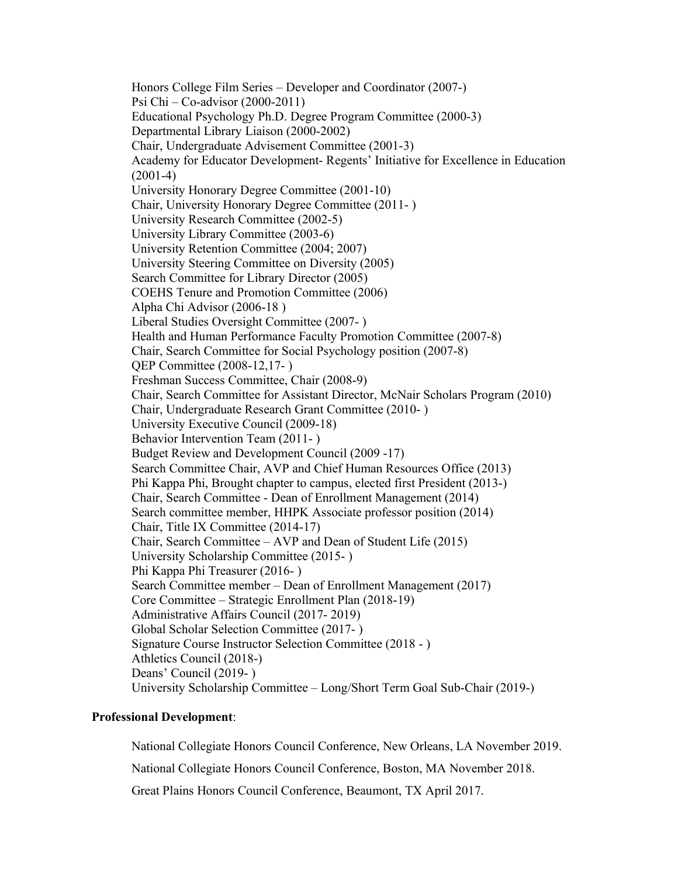Honors College Film Series – Developer and Coordinator (2007-) Psi Chi – Co-advisor (2000-2011) Educational Psychology Ph.D. Degree Program Committee (2000-3) Departmental Library Liaison (2000-2002) Chair, Undergraduate Advisement Committee (2001-3) Academy for Educator Development- Regents' Initiative for Excellence in Education (2001-4) University Honorary Degree Committee (2001-10) Chair, University Honorary Degree Committee (2011- ) University Research Committee (2002-5) University Library Committee (2003-6) University Retention Committee (2004; 2007) University Steering Committee on Diversity (2005) Search Committee for Library Director (2005) COEHS Tenure and Promotion Committee (2006) Alpha Chi Advisor (2006-18 ) Liberal Studies Oversight Committee (2007- ) Health and Human Performance Faculty Promotion Committee (2007-8) Chair, Search Committee for Social Psychology position (2007-8) QEP Committee (2008-12,17- ) Freshman Success Committee, Chair (2008-9) Chair, Search Committee for Assistant Director, McNair Scholars Program (2010) Chair, Undergraduate Research Grant Committee (2010- ) University Executive Council (2009-18) Behavior Intervention Team (2011- ) Budget Review and Development Council (2009 -17) Search Committee Chair, AVP and Chief Human Resources Office (2013) Phi Kappa Phi, Brought chapter to campus, elected first President (2013-) Chair, Search Committee - Dean of Enrollment Management (2014) Search committee member, HHPK Associate professor position (2014) Chair, Title IX Committee (2014-17) Chair, Search Committee – AVP and Dean of Student Life (2015) University Scholarship Committee (2015- ) Phi Kappa Phi Treasurer (2016- ) Search Committee member – Dean of Enrollment Management (2017) Core Committee – Strategic Enrollment Plan (2018-19) Administrative Affairs Council (2017- 2019) Global Scholar Selection Committee (2017- ) Signature Course Instructor Selection Committee (2018 - ) Athletics Council (2018-) Deans' Council (2019- ) University Scholarship Committee – Long/Short Term Goal Sub-Chair (2019-)

## **Professional Development**:

National Collegiate Honors Council Conference, New Orleans, LA November 2019. National Collegiate Honors Council Conference, Boston, MA November 2018. Great Plains Honors Council Conference, Beaumont, TX April 2017.